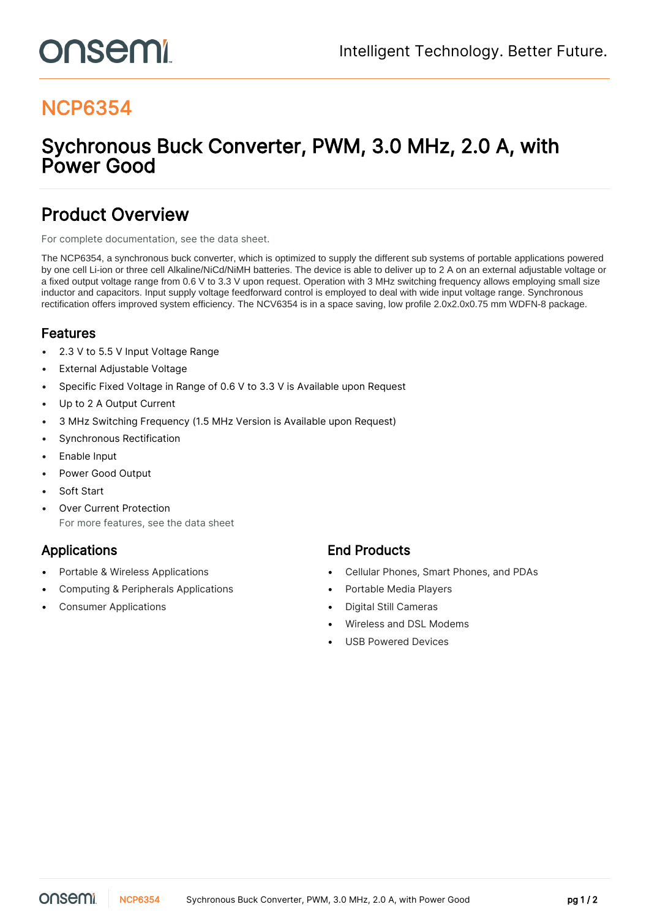# onsemi

### NCP6354

### Sychronous Buck Converter, PWM, 3.0 MHz, 2.0 A, with Power Good

### Product Overview

For complete documentation, see the [data sheet.](https://www.onsemi.com/PowerSolutions/product.do?id=NCP6354)

The NCP6354, a synchronous buck converter, which is optimized to supply the different sub systems of portable applications powered by one cell Li-ion or three cell Alkaline/NiCd/NiMH batteries. The device is able to deliver up to 2 A on an external adjustable voltage or a fixed output voltage range from 0.6 V to 3.3 V upon request. Operation with 3 MHz switching frequency allows employing small size inductor and capacitors. Input supply voltage feedforward control is employed to deal with wide input voltage range. Synchronous rectification offers improved system efficiency. The NCV6354 is in a space saving, low profile 2.0x2.0x0.75 mm WDFN-8 package.

### Features

- 2.3 V to 5.5 V Input Voltage Range
- **External Adjustable Voltage**
- Specific Fixed Voltage in Range of 0.6 V to 3.3 V is Available upon Request
- Up to 2 A Output Current
- 3 MHz Switching Frequency (1.5 MHz Version is Available upon Request)
- Synchronous Rectification
- Enable Input
- Power Good Output
- Soft Start
- **Over Current Protection** For more features, see the [data sheet](https://www.onsemi.com/PowerSolutions/product.do?id=NCP6354)

- 
- Computing & Peripherals Applications Portable Media Players
- Consumer Applications Digital Still Cameras

#### Applications **End Products**

- Portable & Wireless Applications Cellular Phones, Smart Phones, and PDAs
	-
	-
	- Wireless and DSL Modems
	- USB Powered Devices